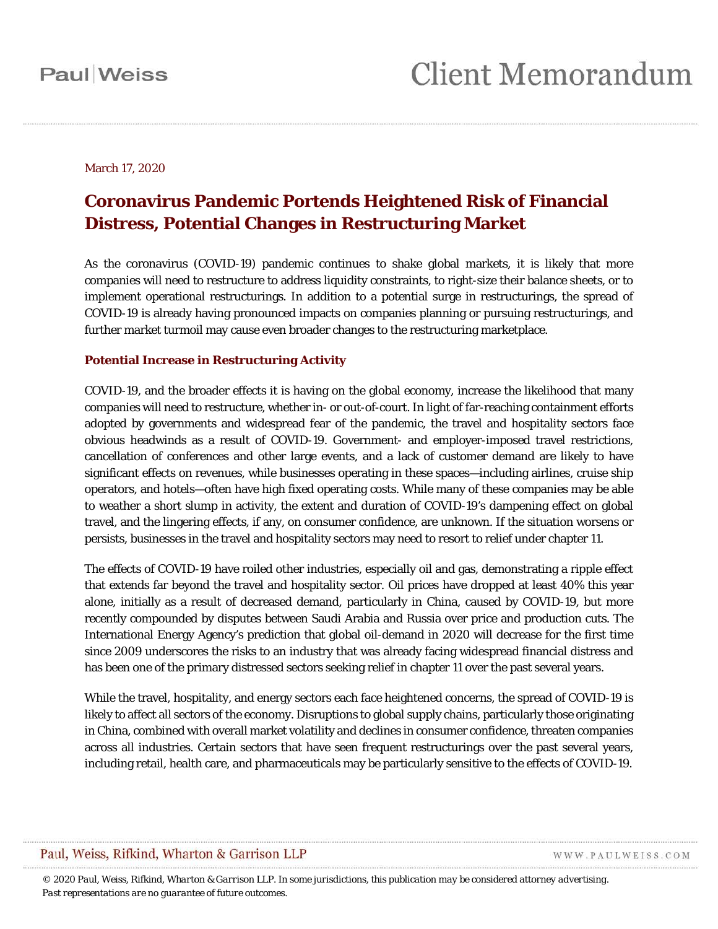#### March 17, 2020

### **Coronavirus Pandemic Portends Heightened Risk of Financial Distress, Potential Changes in Restructuring Market**

As the coronavirus (COVID-19) pandemic continues to shake global markets, it is likely that more companies will need to restructure to address liquidity constraints, to right-size their balance sheets, or to implement operational restructurings. In addition to a potential surge in restructurings, the spread of COVID-19 is already having pronounced impacts on companies planning or pursuing restructurings, and further market turmoil may cause even broader changes to the restructuring marketplace.

#### **Potential Increase in Restructuring Activity**

COVID-19, and the broader effects it is having on the global economy, increase the likelihood that many companies will need to restructure, whether in- or out-of-court. In light of far-reaching containment efforts adopted by governments and widespread fear of the pandemic, the travel and hospitality sectors face obvious headwinds as a result of COVID-19. Government- and employer-imposed travel restrictions, cancellation of conferences and other large events, and a lack of customer demand are likely to have significant effects on revenues, while businesses operating in these spaces—including airlines, cruise ship operators, and hotels—often have high fixed operating costs. While many of these companies may be able to weather a short slump in activity, the extent and duration of COVID-19's dampening effect on global travel, and the lingering effects, if any, on consumer confidence, are unknown. If the situation worsens or persists, businesses in the travel and hospitality sectors may need to resort to relief under chapter 11.

The effects of COVID-19 have roiled other industries, especially oil and gas, demonstrating a ripple effect that extends far beyond the travel and hospitality sector. Oil prices have dropped at least 40% this year alone, initially as a result of decreased demand, particularly in China, caused by COVID-19, but more recently compounded by disputes between Saudi Arabia and Russia over price and production cuts. The International Energy Agency's prediction that global oil-demand in 2020 will decrease for the first time since 2009 underscores the risks to an industry that was already facing widespread financial distress and has been one of the primary distressed sectors seeking relief in chapter 11 over the past several years.

While the travel, hospitality, and energy sectors each face heightened concerns, the spread of COVID-19 is likely to affect all sectors of the economy. Disruptions to global supply chains, particularly those originating in China, combined with overall market volatility and declines in consumer confidence, threaten companies across all industries. Certain sectors that have seen frequent restructurings over the past several years, including retail, health care, and pharmaceuticals may be particularly sensitive to the effects of COVID-19.

#### Paul, Weiss, Rifkind, Wharton & Garrison LLP

WWW.PAULWEISS.COM

*© 2020 Paul, Weiss, Rifkind, Wharton & Garrison LLP. In some jurisdictions, this publication may be considered attorney advertising. Past representations are no guarantee of future outcomes.*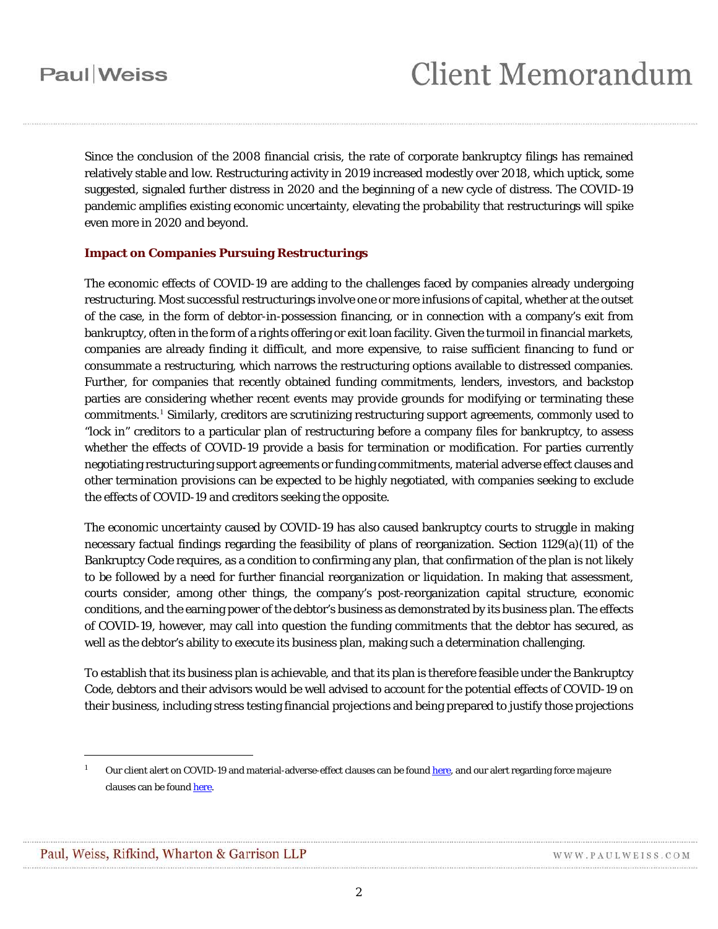Since the conclusion of the 2008 financial crisis, the rate of corporate bankruptcy filings has remained relatively stable and low. Restructuring activity in 2019 increased modestly over 2018, which uptick, some suggested, signaled further distress in 2020 and the beginning of a new cycle of distress. The COVID-19 pandemic amplifies existing economic uncertainty, elevating the probability that restructurings will spike even more in 2020 and beyond.

#### **Impact on Companies Pursuing Restructurings**

The economic effects of COVID-19 are adding to the challenges faced by companies already undergoing restructuring. Most successful restructurings involve one or more infusions of capital, whether at the outset of the case, in the form of debtor-in-possession financing, or in connection with a company's exit from bankruptcy, often in the form of a rights offering or exit loan facility. Given the turmoil in financial markets, companies are already finding it difficult, and more expensive, to raise sufficient financing to fund or consummate a restructuring, which narrows the restructuring options available to distressed companies. Further, for companies that recently obtained funding commitments, lenders, investors, and backstop parties are considering whether recent events may provide grounds for modifying or terminating these commitments.[1](#page-1-0) Similarly, creditors are scrutinizing restructuring support agreements, commonly used to "lock in" creditors to a particular plan of restructuring before a company files for bankruptcy, to assess whether the effects of COVID-19 provide a basis for termination or modification. For parties currently negotiating restructuring support agreements or funding commitments, material adverse effect clauses and other termination provisions can be expected to be highly negotiated, with companies seeking to exclude the effects of COVID-19 and creditors seeking the opposite.

The economic uncertainty caused by COVID-19 has also caused bankruptcy courts to struggle in making necessary factual findings regarding the feasibility of plans of reorganization. Section 1129(a)(11) of the Bankruptcy Code requires, as a condition to confirming any plan, that confirmation of the plan is not likely to be followed by a need for further financial reorganization or liquidation. In making that assessment, courts consider, among other things, the company's post-reorganization capital structure, economic conditions, and the earning power of the debtor's business as demonstrated by its business plan. The effects of COVID-19, however, may call into question the funding commitments that the debtor has secured, as well as the debtor's ability to execute its business plan, making such a determination challenging.

To establish that its business plan is achievable, and that its plan is therefore feasible under the Bankruptcy Code, debtors and their advisors would be well advised to account for the potential effects of COVID-19 on their business, including stress testing financial projections and being prepared to justify those projections

<span id="page-1-0"></span> $\overline{a}$ 

Our client alert on COVID-19 and material-adverse-effect clauses can be foun[d here,](https://www.paulweiss.com/practices/transactional/mergers-acquisitions/publications/is-the-coronavirus-a-material-adverse-effect?id=30800) and our alert regarding force majeure clauses can be foun[d here.](https://www.paulweiss.com/practices/litigation/litigation/publications/update-force-majeure-under-the-coronavirus-covid-19-pandemic?id=30881)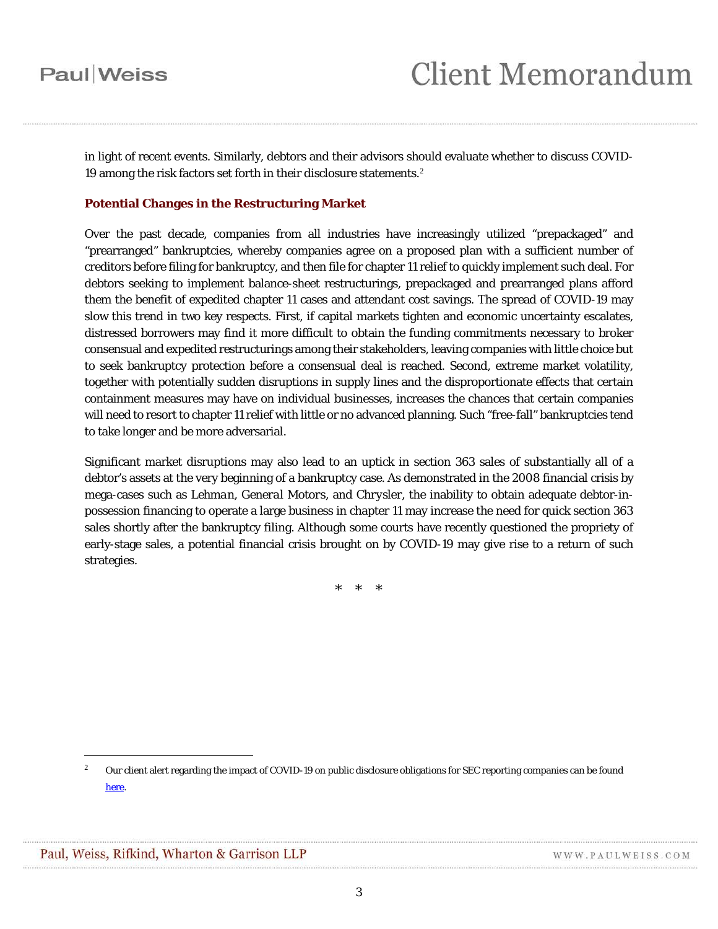## Paul Weiss

in light of recent events. Similarly, debtors and their advisors should evaluate whether to discuss COVID-19 among the risk factors set forth in their disclosure statements.<sup>[2](#page-2-0)</sup>

#### **Potential Changes in the Restructuring Market**

Over the past decade, companies from all industries have increasingly utilized "prepackaged" and "prearranged" bankruptcies, whereby companies agree on a proposed plan with a sufficient number of creditors before filing for bankruptcy, and then file for chapter 11 relief to quickly implement such deal. For debtors seeking to implement balance-sheet restructurings, prepackaged and prearranged plans afford them the benefit of expedited chapter 11 cases and attendant cost savings. The spread of COVID-19 may slow this trend in two key respects. First, if capital markets tighten and economic uncertainty escalates, distressed borrowers may find it more difficult to obtain the funding commitments necessary to broker consensual and expedited restructurings among their stakeholders, leaving companies with little choice but to seek bankruptcy protection before a consensual deal is reached. Second, extreme market volatility, together with potentially sudden disruptions in supply lines and the disproportionate effects that certain containment measures may have on individual businesses, increases the chances that certain companies will need to resort to chapter 11 relief with little or no advanced planning. Such "free-fall" bankruptcies tend to take longer and be more adversarial.

Significant market disruptions may also lead to an uptick in section 363 sales of substantially all of a debtor's assets at the very beginning of a bankruptcy case. As demonstrated in the 2008 financial crisis by mega-cases such as *Lehman*, *General Motors*, and *Chrysler*, the inability to obtain adequate debtor-inpossession financing to operate a large business in chapter 11 may increase the need for quick section 363 sales shortly after the bankruptcy filing. Although some courts have recently questioned the propriety of early-stage sales, a potential financial crisis brought on by COVID-19 may give rise to a return of such strategies.

\* \* \*

 $\overline{a}$ 

<span id="page-2-0"></span><sup>&</sup>lt;sup>2</sup> Our client alert regarding the impact of COVID-19 on public disclosure obligations for SEC reporting companies can be found [here.](https://www.paulweiss.com/practices/transactional/corporate/publications/sec-reporting-companies-considering-the-impact-of-the-coronavirus-on-public-disclosure-and-other-obligations?id=30756)